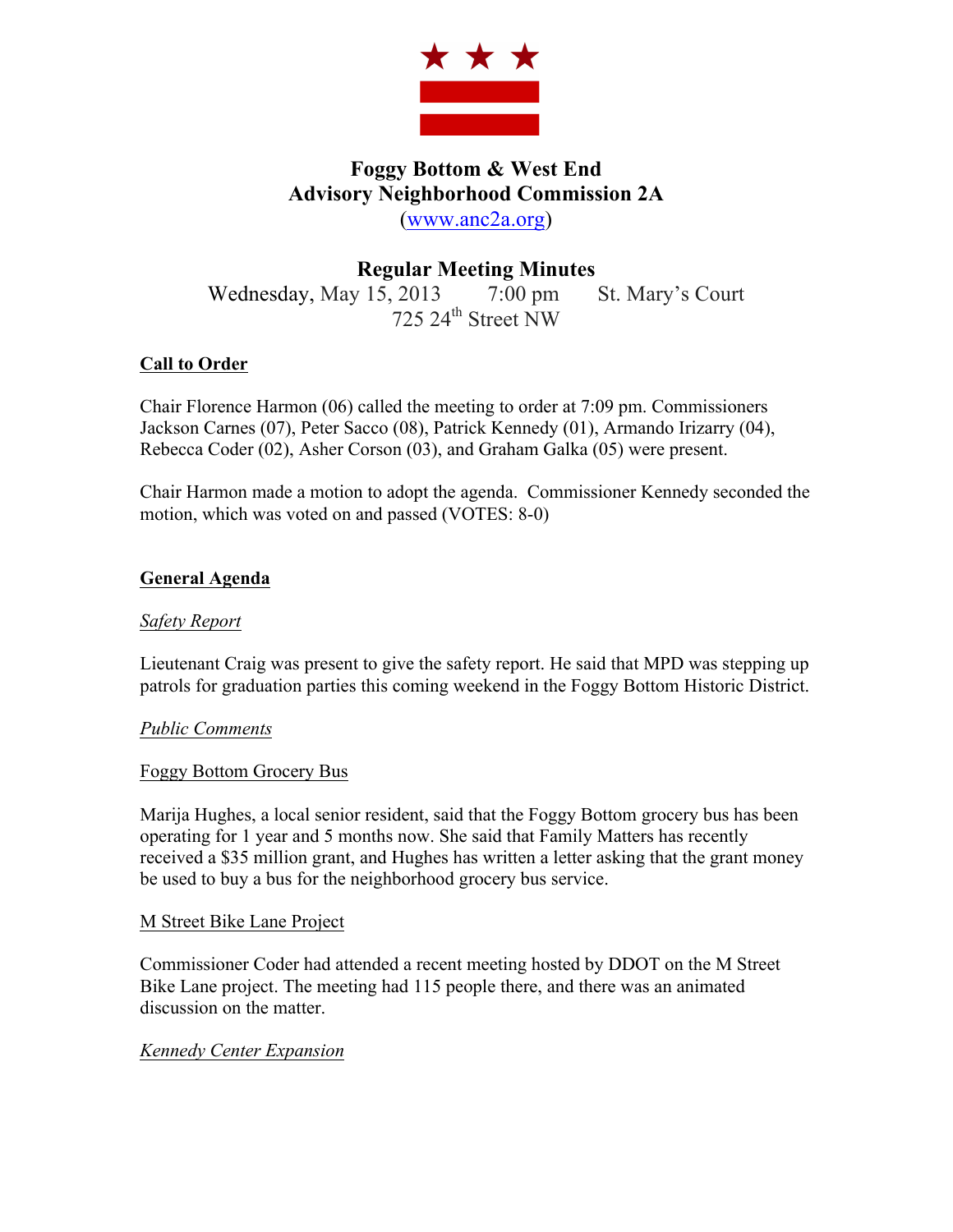

# **Foggy Bottom & West End Advisory Neighborhood Commission 2A** (www.anc2a.org)

# **Regular Meeting Minutes**

Wednesday, May 15, 2013 7:00 pm St. Mary's Court  $725$  24<sup>th</sup> Street NW

# **Call to Order**

Chair Florence Harmon (06) called the meeting to order at 7:09 pm. Commissioners Jackson Carnes (07), Peter Sacco (08), Patrick Kennedy (01), Armando Irizarry (04), Rebecca Coder (02), Asher Corson (03), and Graham Galka (05) were present.

Chair Harmon made a motion to adopt the agenda. Commissioner Kennedy seconded the motion, which was voted on and passed (VOTES: 8-0)

# **General Agenda**

# *Safety Report*

Lieutenant Craig was present to give the safety report. He said that MPD was stepping up patrols for graduation parties this coming weekend in the Foggy Bottom Historic District.

# *Public Comments*

### Foggy Bottom Grocery Bus

Marija Hughes, a local senior resident, said that the Foggy Bottom grocery bus has been operating for 1 year and 5 months now. She said that Family Matters has recently received a \$35 million grant, and Hughes has written a letter asking that the grant money be used to buy a bus for the neighborhood grocery bus service.

### M Street Bike Lane Project

Commissioner Coder had attended a recent meeting hosted by DDOT on the M Street Bike Lane project. The meeting had 115 people there, and there was an animated discussion on the matter.

### *Kennedy Center Expansion*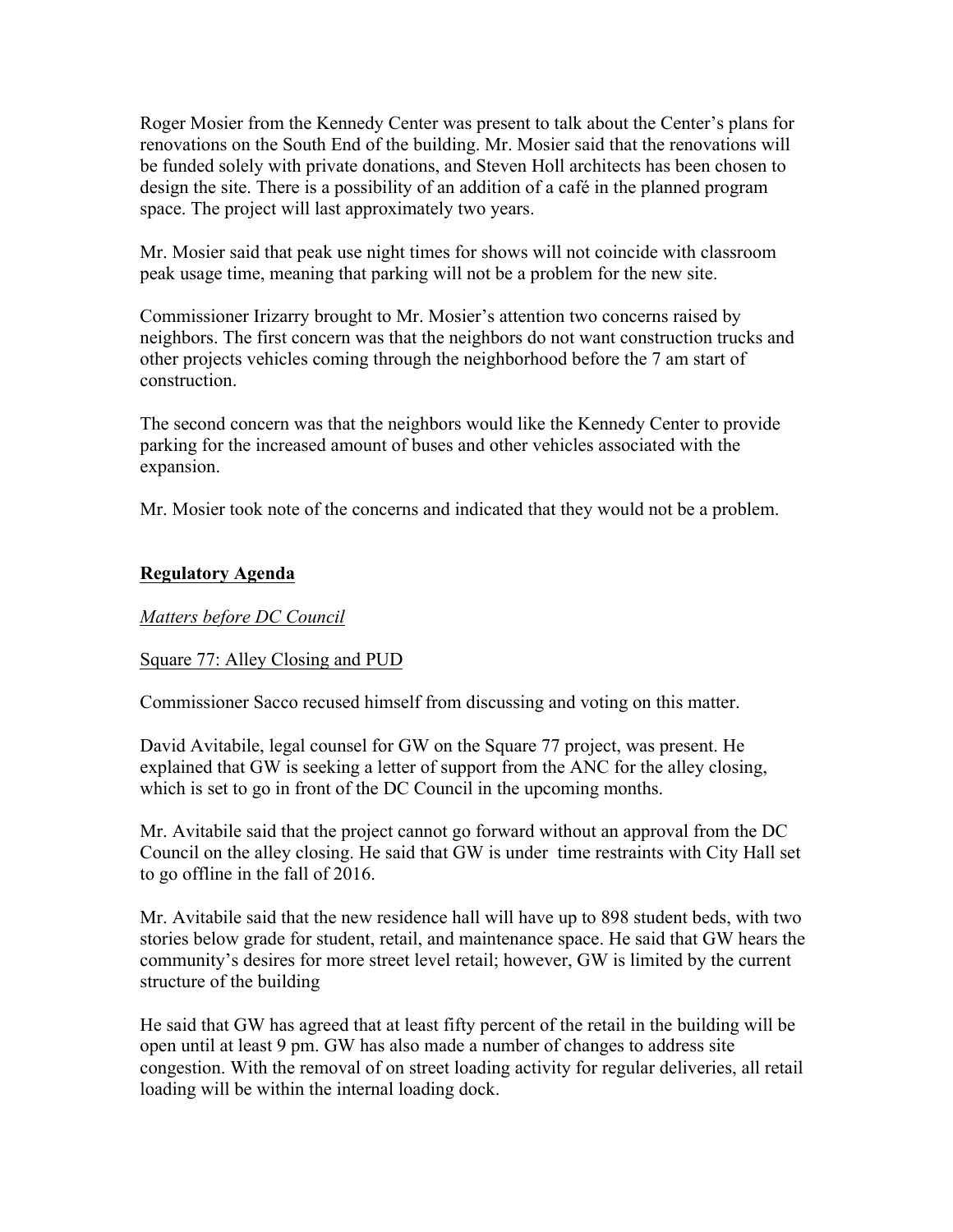Roger Mosier from the Kennedy Center was present to talk about the Center's plans for renovations on the South End of the building. Mr. Mosier said that the renovations will be funded solely with private donations, and Steven Holl architects has been chosen to design the site. There is a possibility of an addition of a café in the planned program space. The project will last approximately two years.

Mr. Mosier said that peak use night times for shows will not coincide with classroom peak usage time, meaning that parking will not be a problem for the new site.

Commissioner Irizarry brought to Mr. Mosier's attention two concerns raised by neighbors. The first concern was that the neighbors do not want construction trucks and other projects vehicles coming through the neighborhood before the 7 am start of construction.

The second concern was that the neighbors would like the Kennedy Center to provide parking for the increased amount of buses and other vehicles associated with the expansion.

Mr. Mosier took note of the concerns and indicated that they would not be a problem.

## **Regulatory Agenda**

# *Matters before DC Council*

### Square 77: Alley Closing and PUD

Commissioner Sacco recused himself from discussing and voting on this matter.

David Avitabile, legal counsel for GW on the Square 77 project, was present. He explained that GW is seeking a letter of support from the ANC for the alley closing, which is set to go in front of the DC Council in the upcoming months.

Mr. Avitabile said that the project cannot go forward without an approval from the DC Council on the alley closing. He said that GW is under time restraints with City Hall set to go offline in the fall of 2016.

Mr. Avitabile said that the new residence hall will have up to 898 student beds, with two stories below grade for student, retail, and maintenance space. He said that GW hears the community's desires for more street level retail; however, GW is limited by the current structure of the building

He said that GW has agreed that at least fifty percent of the retail in the building will be open until at least 9 pm. GW has also made a number of changes to address site congestion. With the removal of on street loading activity for regular deliveries, all retail loading will be within the internal loading dock.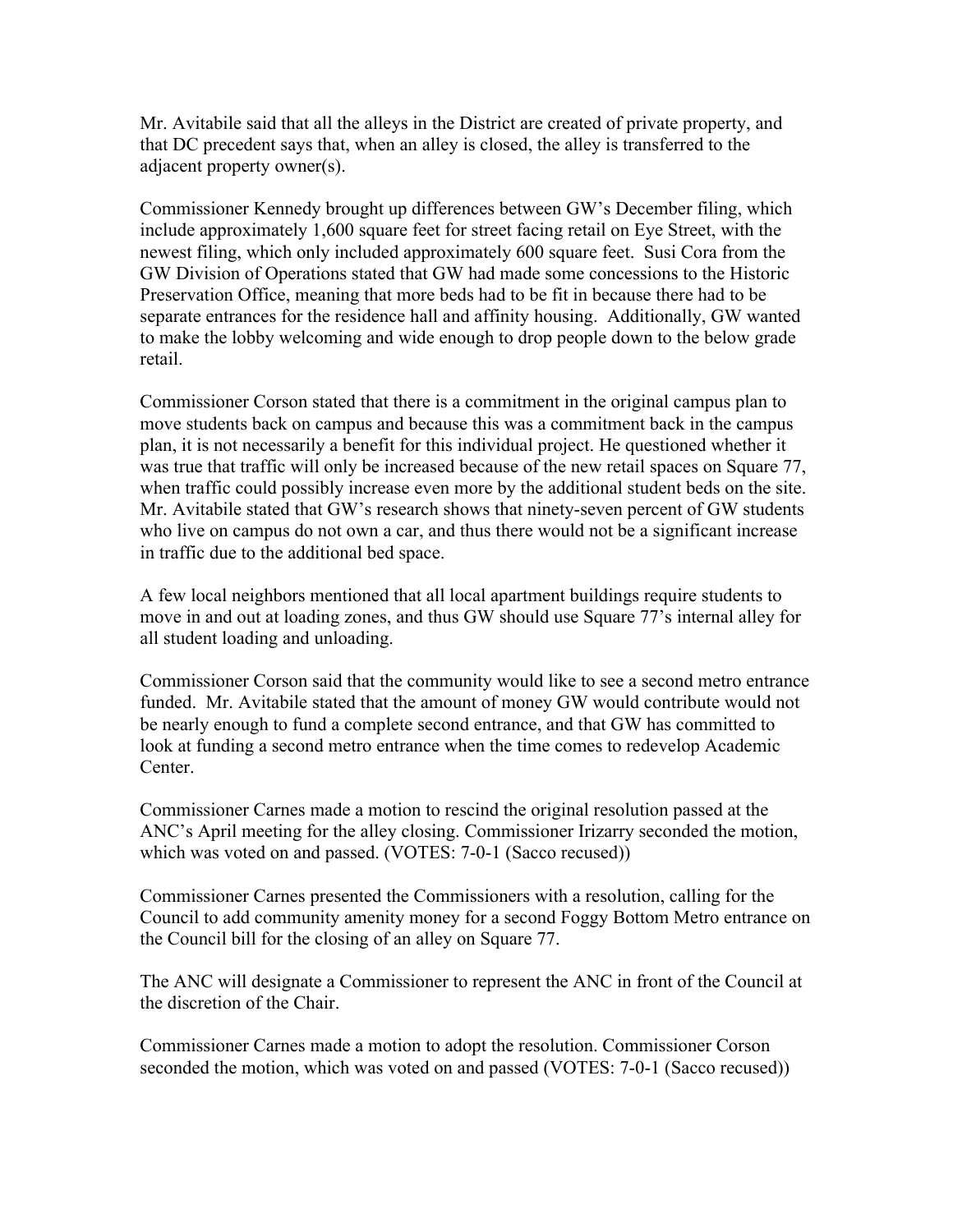Mr. Avitabile said that all the alleys in the District are created of private property, and that DC precedent says that, when an alley is closed, the alley is transferred to the adjacent property owner(s).

Commissioner Kennedy brought up differences between GW's December filing, which include approximately 1,600 square feet for street facing retail on Eye Street, with the newest filing, which only included approximately 600 square feet. Susi Cora from the GW Division of Operations stated that GW had made some concessions to the Historic Preservation Office, meaning that more beds had to be fit in because there had to be separate entrances for the residence hall and affinity housing. Additionally, GW wanted to make the lobby welcoming and wide enough to drop people down to the below grade retail.

Commissioner Corson stated that there is a commitment in the original campus plan to move students back on campus and because this was a commitment back in the campus plan, it is not necessarily a benefit for this individual project. He questioned whether it was true that traffic will only be increased because of the new retail spaces on Square 77, when traffic could possibly increase even more by the additional student beds on the site. Mr. Avitabile stated that GW's research shows that ninety-seven percent of GW students who live on campus do not own a car, and thus there would not be a significant increase in traffic due to the additional bed space.

A few local neighbors mentioned that all local apartment buildings require students to move in and out at loading zones, and thus GW should use Square 77's internal alley for all student loading and unloading.

Commissioner Corson said that the community would like to see a second metro entrance funded. Mr. Avitabile stated that the amount of money GW would contribute would not be nearly enough to fund a complete second entrance, and that GW has committed to look at funding a second metro entrance when the time comes to redevelop Academic Center.

Commissioner Carnes made a motion to rescind the original resolution passed at the ANC's April meeting for the alley closing. Commissioner Irizarry seconded the motion, which was voted on and passed. (VOTES: 7-0-1 (Sacco recused))

Commissioner Carnes presented the Commissioners with a resolution, calling for the Council to add community amenity money for a second Foggy Bottom Metro entrance on the Council bill for the closing of an alley on Square 77.

The ANC will designate a Commissioner to represent the ANC in front of the Council at the discretion of the Chair.

Commissioner Carnes made a motion to adopt the resolution. Commissioner Corson seconded the motion, which was voted on and passed (VOTES: 7-0-1 (Sacco recused))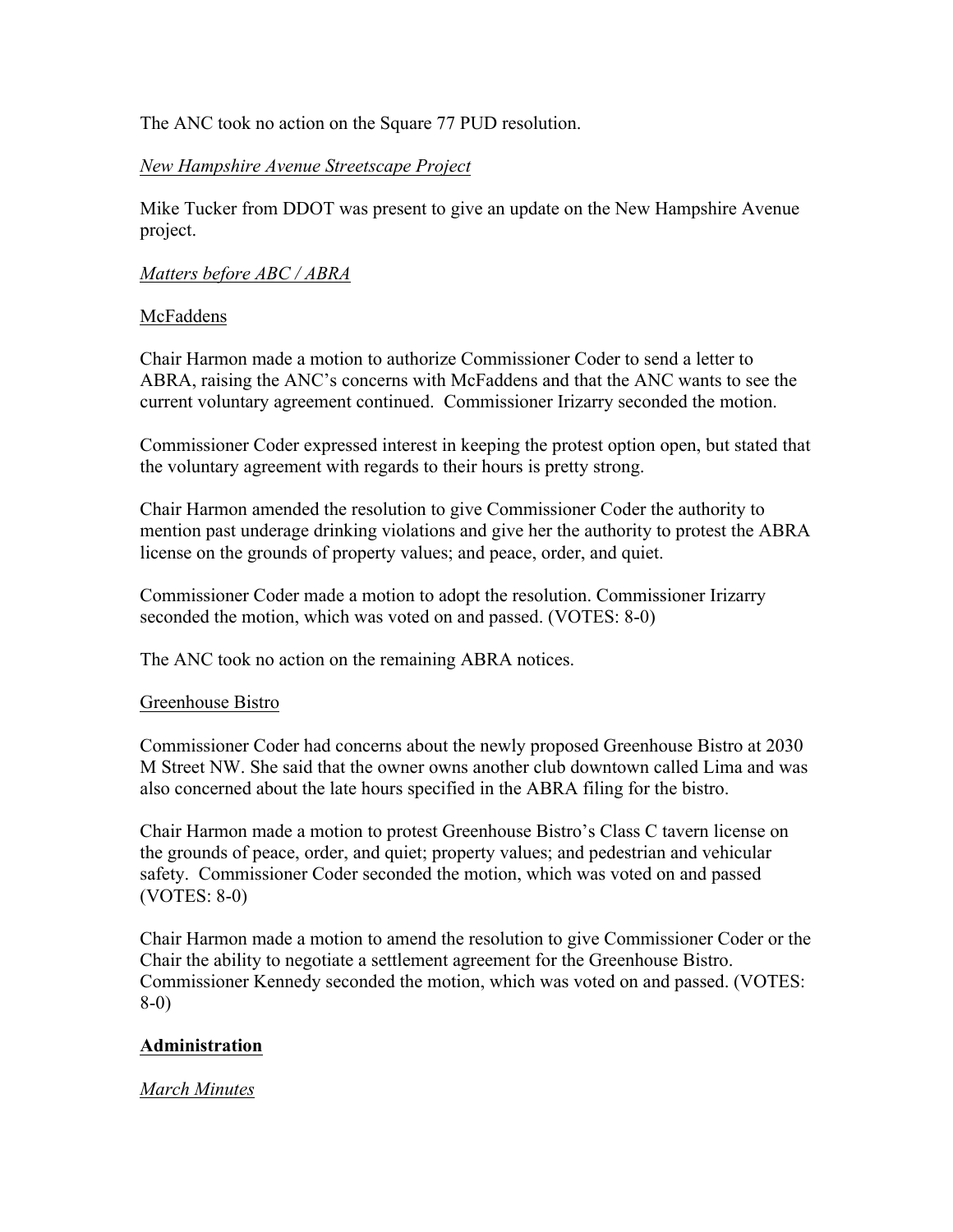The ANC took no action on the Square 77 PUD resolution.

## *New Hampshire Avenue Streetscape Project*

Mike Tucker from DDOT was present to give an update on the New Hampshire Avenue project.

## *Matters before ABC / ABRA*

## McFaddens

Chair Harmon made a motion to authorize Commissioner Coder to send a letter to ABRA, raising the ANC's concerns with McFaddens and that the ANC wants to see the current voluntary agreement continued. Commissioner Irizarry seconded the motion.

Commissioner Coder expressed interest in keeping the protest option open, but stated that the voluntary agreement with regards to their hours is pretty strong.

Chair Harmon amended the resolution to give Commissioner Coder the authority to mention past underage drinking violations and give her the authority to protest the ABRA license on the grounds of property values; and peace, order, and quiet.

Commissioner Coder made a motion to adopt the resolution. Commissioner Irizarry seconded the motion, which was voted on and passed. (VOTES: 8-0)

The ANC took no action on the remaining ABRA notices.

### Greenhouse Bistro

Commissioner Coder had concerns about the newly proposed Greenhouse Bistro at 2030 M Street NW. She said that the owner owns another club downtown called Lima and was also concerned about the late hours specified in the ABRA filing for the bistro.

Chair Harmon made a motion to protest Greenhouse Bistro's Class C tavern license on the grounds of peace, order, and quiet; property values; and pedestrian and vehicular safety. Commissioner Coder seconded the motion, which was voted on and passed (VOTES: 8-0)

Chair Harmon made a motion to amend the resolution to give Commissioner Coder or the Chair the ability to negotiate a settlement agreement for the Greenhouse Bistro. Commissioner Kennedy seconded the motion, which was voted on and passed. (VOTES: 8-0)

# **Administration**

### *March Minutes*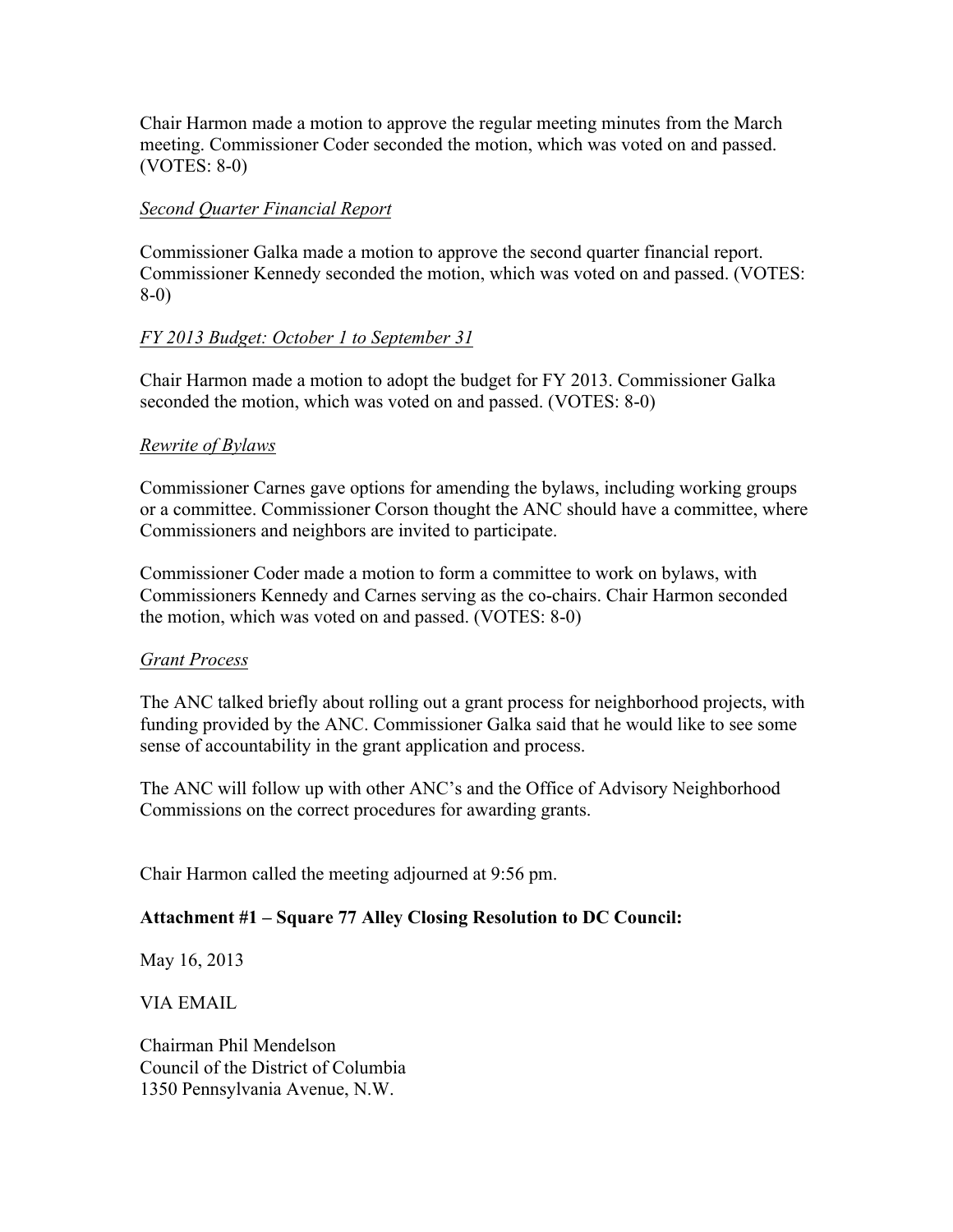Chair Harmon made a motion to approve the regular meeting minutes from the March meeting. Commissioner Coder seconded the motion, which was voted on and passed. (VOTES: 8-0)

## *Second Quarter Financial Report*

Commissioner Galka made a motion to approve the second quarter financial report. Commissioner Kennedy seconded the motion, which was voted on and passed. (VOTES: 8-0)

# *FY 2013 Budget: October 1 to September 31*

Chair Harmon made a motion to adopt the budget for FY 2013. Commissioner Galka seconded the motion, which was voted on and passed. (VOTES: 8-0)

## *Rewrite of Bylaws*

Commissioner Carnes gave options for amending the bylaws, including working groups or a committee. Commissioner Corson thought the ANC should have a committee, where Commissioners and neighbors are invited to participate.

Commissioner Coder made a motion to form a committee to work on bylaws, with Commissioners Kennedy and Carnes serving as the co-chairs. Chair Harmon seconded the motion, which was voted on and passed. (VOTES: 8-0)

### *Grant Process*

The ANC talked briefly about rolling out a grant process for neighborhood projects, with funding provided by the ANC. Commissioner Galka said that he would like to see some sense of accountability in the grant application and process.

The ANC will follow up with other ANC's and the Office of Advisory Neighborhood Commissions on the correct procedures for awarding grants.

Chair Harmon called the meeting adjourned at 9:56 pm.

# **Attachment #1 – Square 77 Alley Closing Resolution to DC Council:**

May 16, 2013

VIA EMAIL

Chairman Phil Mendelson Council of the District of Columbia 1350 Pennsylvania Avenue, N.W.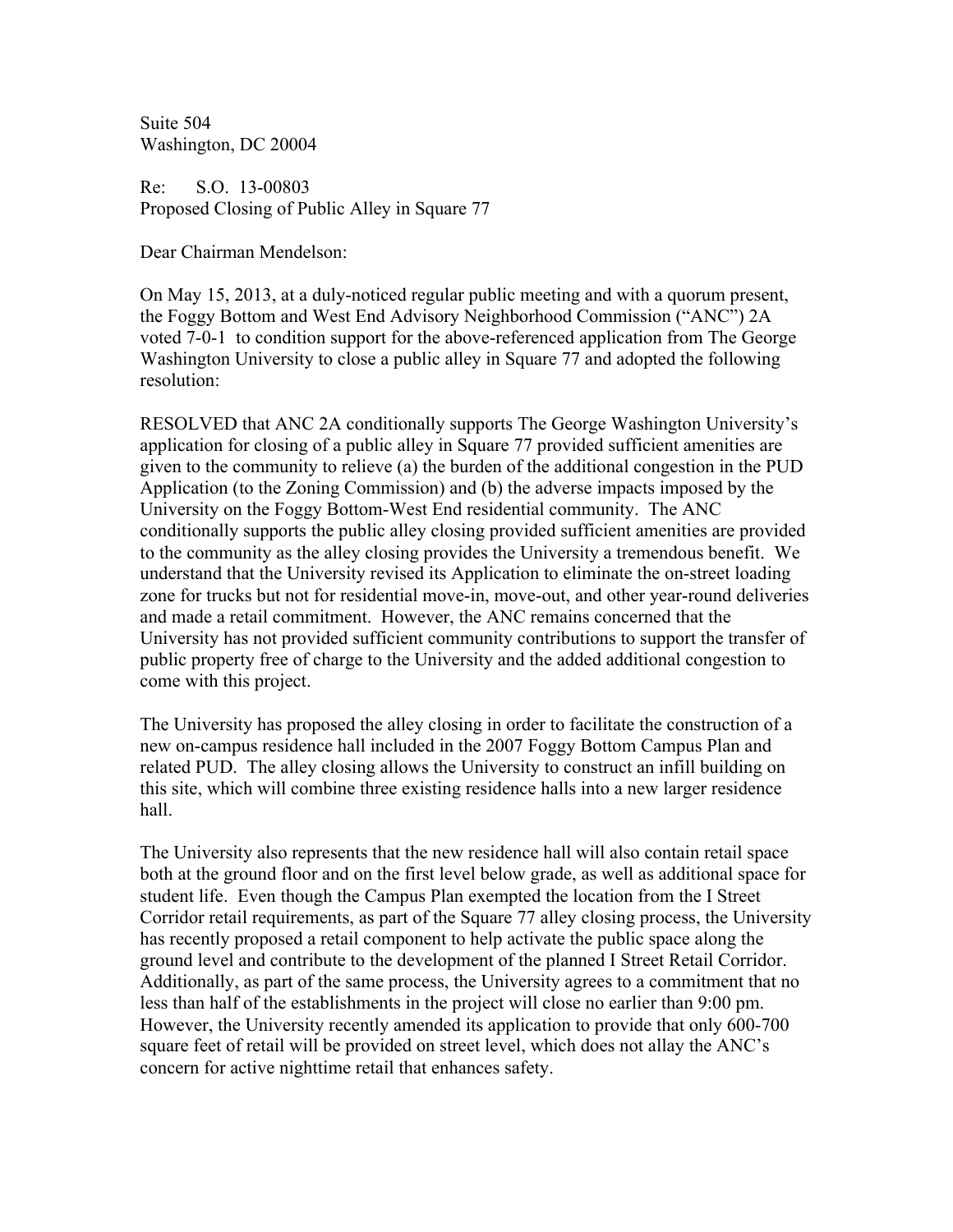Suite 504 Washington, DC 20004

Re: S.O. 13-00803 Proposed Closing of Public Alley in Square 77

Dear Chairman Mendelson:

On May 15, 2013, at a duly-noticed regular public meeting and with a quorum present, the Foggy Bottom and West End Advisory Neighborhood Commission ("ANC") 2A voted 7-0-1 to condition support for the above-referenced application from The George Washington University to close a public alley in Square 77 and adopted the following resolution:

RESOLVED that ANC 2A conditionally supports The George Washington University's application for closing of a public alley in Square 77 provided sufficient amenities are given to the community to relieve (a) the burden of the additional congestion in the PUD Application (to the Zoning Commission) and (b) the adverse impacts imposed by the University on the Foggy Bottom-West End residential community. The ANC conditionally supports the public alley closing provided sufficient amenities are provided to the community as the alley closing provides the University a tremendous benefit. We understand that the University revised its Application to eliminate the on-street loading zone for trucks but not for residential move-in, move-out, and other year-round deliveries and made a retail commitment. However, the ANC remains concerned that the University has not provided sufficient community contributions to support the transfer of public property free of charge to the University and the added additional congestion to come with this project.

The University has proposed the alley closing in order to facilitate the construction of a new on-campus residence hall included in the 2007 Foggy Bottom Campus Plan and related PUD. The alley closing allows the University to construct an infill building on this site, which will combine three existing residence halls into a new larger residence hall.

The University also represents that the new residence hall will also contain retail space both at the ground floor and on the first level below grade, as well as additional space for student life. Even though the Campus Plan exempted the location from the I Street Corridor retail requirements, as part of the Square 77 alley closing process, the University has recently proposed a retail component to help activate the public space along the ground level and contribute to the development of the planned I Street Retail Corridor. Additionally, as part of the same process, the University agrees to a commitment that no less than half of the establishments in the project will close no earlier than 9:00 pm. However, the University recently amended its application to provide that only 600-700 square feet of retail will be provided on street level, which does not allay the ANC's concern for active nighttime retail that enhances safety.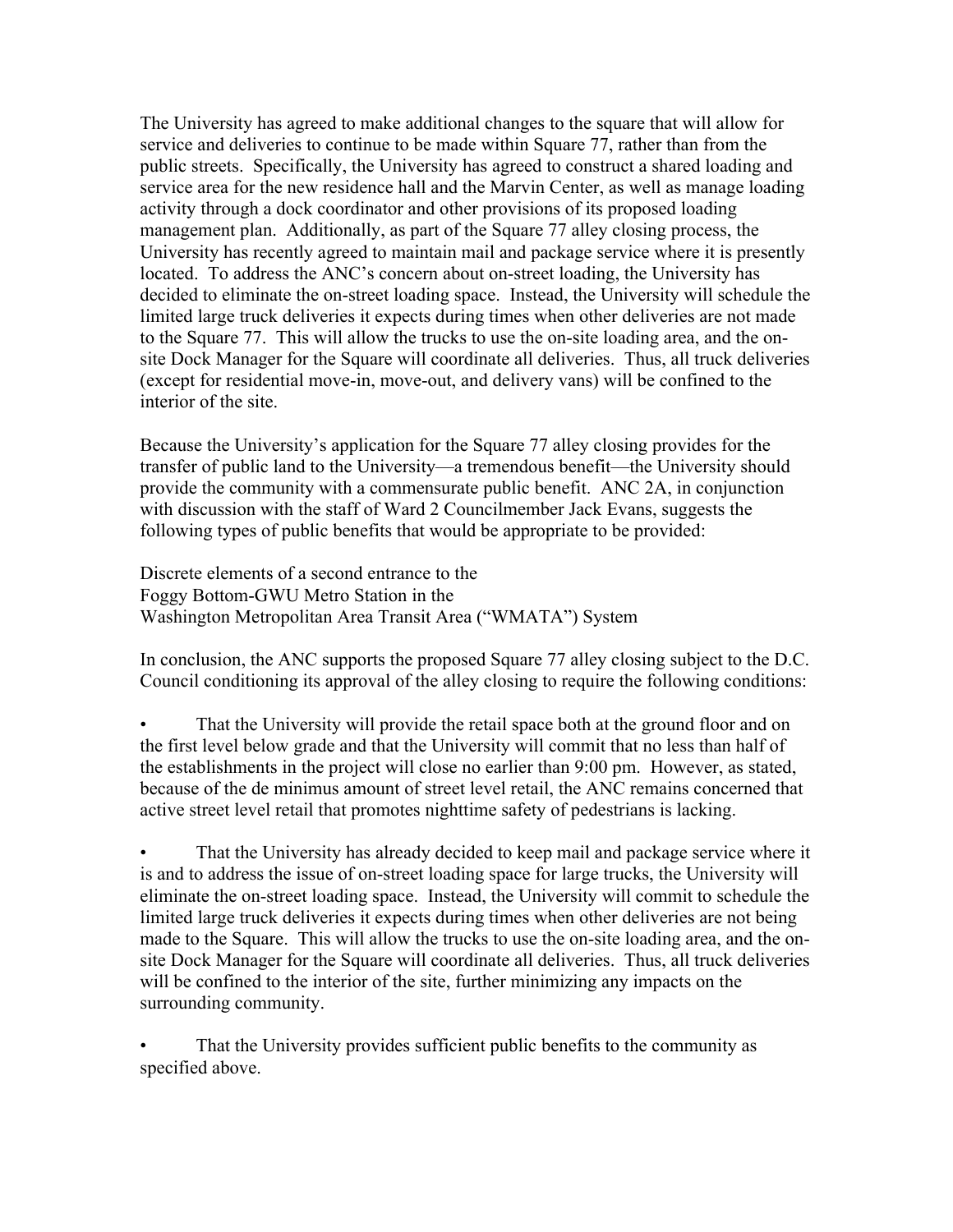The University has agreed to make additional changes to the square that will allow for service and deliveries to continue to be made within Square 77, rather than from the public streets. Specifically, the University has agreed to construct a shared loading and service area for the new residence hall and the Marvin Center, as well as manage loading activity through a dock coordinator and other provisions of its proposed loading management plan. Additionally, as part of the Square 77 alley closing process, the University has recently agreed to maintain mail and package service where it is presently located. To address the ANC's concern about on-street loading, the University has decided to eliminate the on-street loading space. Instead, the University will schedule the limited large truck deliveries it expects during times when other deliveries are not made to the Square 77. This will allow the trucks to use the on-site loading area, and the onsite Dock Manager for the Square will coordinate all deliveries. Thus, all truck deliveries (except for residential move-in, move-out, and delivery vans) will be confined to the interior of the site.

Because the University's application for the Square 77 alley closing provides for the transfer of public land to the University—a tremendous benefit—the University should provide the community with a commensurate public benefit. ANC 2A, in conjunction with discussion with the staff of Ward 2 Councilmember Jack Evans, suggests the following types of public benefits that would be appropriate to be provided:

Discrete elements of a second entrance to the Foggy Bottom-GWU Metro Station in the Washington Metropolitan Area Transit Area ("WMATA") System

In conclusion, the ANC supports the proposed Square 77 alley closing subject to the D.C. Council conditioning its approval of the alley closing to require the following conditions:

• That the University will provide the retail space both at the ground floor and on the first level below grade and that the University will commit that no less than half of the establishments in the project will close no earlier than 9:00 pm. However, as stated, because of the de minimus amount of street level retail, the ANC remains concerned that active street level retail that promotes nighttime safety of pedestrians is lacking.

• That the University has already decided to keep mail and package service where it is and to address the issue of on-street loading space for large trucks, the University will eliminate the on-street loading space. Instead, the University will commit to schedule the limited large truck deliveries it expects during times when other deliveries are not being made to the Square. This will allow the trucks to use the on-site loading area, and the onsite Dock Manager for the Square will coordinate all deliveries. Thus, all truck deliveries will be confined to the interior of the site, further minimizing any impacts on the surrounding community.

That the University provides sufficient public benefits to the community as specified above.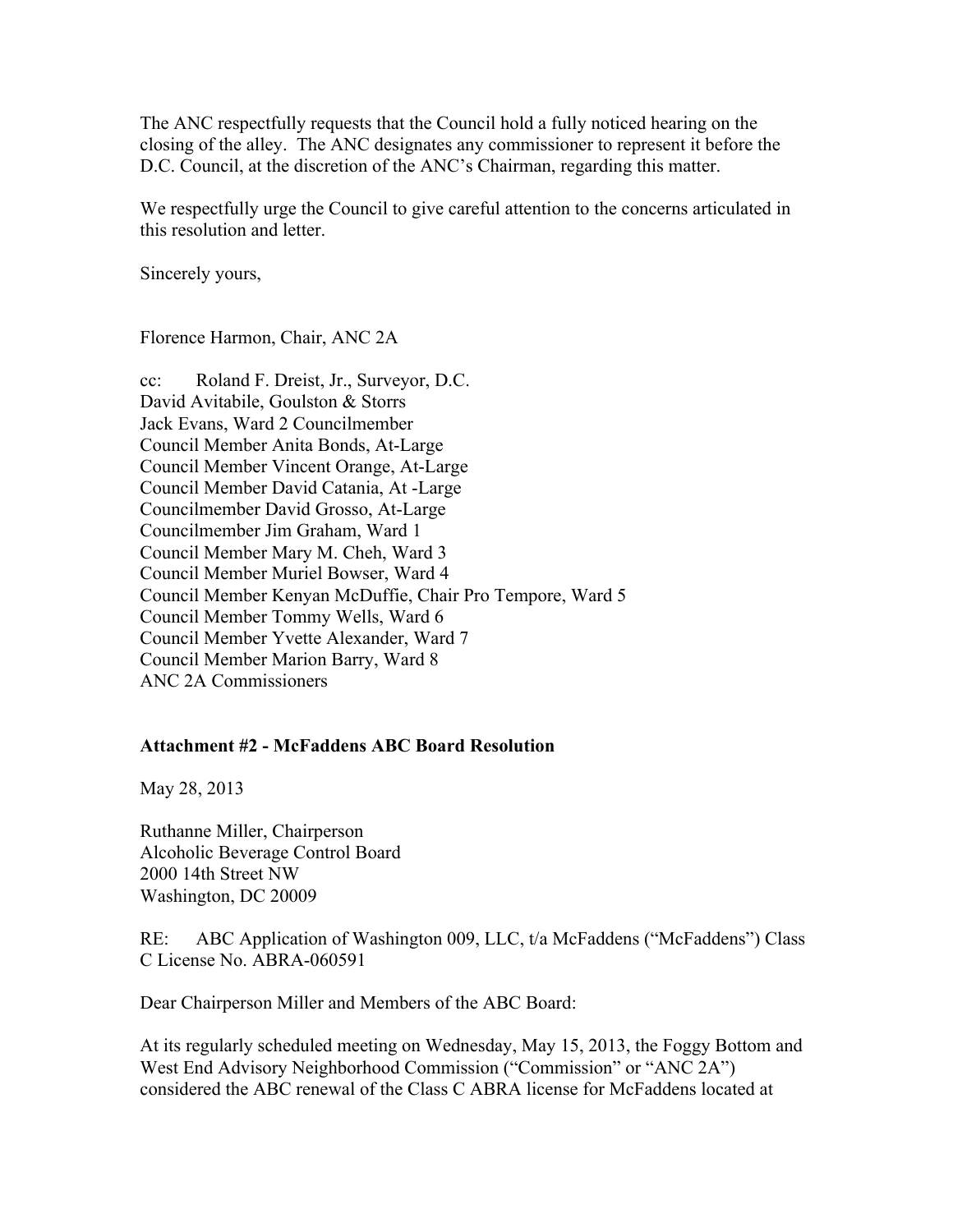The ANC respectfully requests that the Council hold a fully noticed hearing on the closing of the alley. The ANC designates any commissioner to represent it before the D.C. Council, at the discretion of the ANC's Chairman, regarding this matter.

We respectfully urge the Council to give careful attention to the concerns articulated in this resolution and letter.

Sincerely yours,

Florence Harmon, Chair, ANC 2A

cc: Roland F. Dreist, Jr., Surveyor, D.C. David Avitabile, Goulston & Storrs Jack Evans, Ward 2 Councilmember Council Member Anita Bonds, At-Large Council Member Vincent Orange, At-Large Council Member David Catania, At -Large Councilmember David Grosso, At-Large Councilmember Jim Graham, Ward 1 Council Member Mary M. Cheh, Ward 3 Council Member Muriel Bowser, Ward 4 Council Member Kenyan McDuffie, Chair Pro Tempore, Ward 5 Council Member Tommy Wells, Ward 6 Council Member Yvette Alexander, Ward 7 Council Member Marion Barry, Ward 8 ANC 2A Commissioners

## **Attachment #2 - McFaddens ABC Board Resolution**

May 28, 2013

Ruthanne Miller, Chairperson Alcoholic Beverage Control Board 2000 14th Street NW Washington, DC 20009

RE: ABC Application of Washington 009, LLC, t/a McFaddens ("McFaddens") Class C License No. ABRA-060591

Dear Chairperson Miller and Members of the ABC Board:

At its regularly scheduled meeting on Wednesday, May 15, 2013, the Foggy Bottom and West End Advisory Neighborhood Commission ("Commission" or "ANC 2A") considered the ABC renewal of the Class C ABRA license for McFaddens located at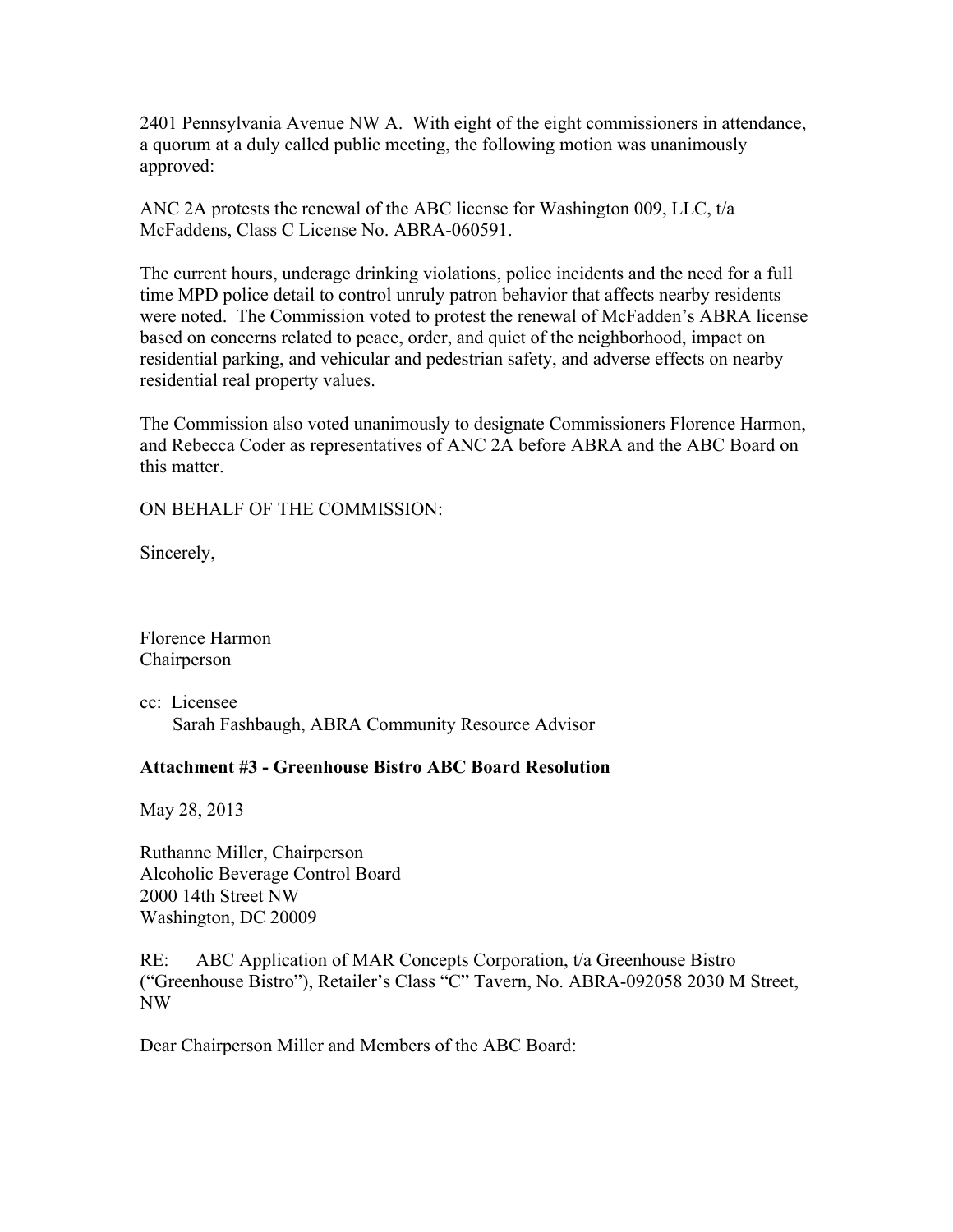2401 Pennsylvania Avenue NW A. With eight of the eight commissioners in attendance, a quorum at a duly called public meeting, the following motion was unanimously approved:

ANC 2A protests the renewal of the ABC license for Washington 009, LLC, t/a McFaddens, Class C License No. ABRA-060591.

The current hours, underage drinking violations, police incidents and the need for a full time MPD police detail to control unruly patron behavior that affects nearby residents were noted. The Commission voted to protest the renewal of McFadden's ABRA license based on concerns related to peace, order, and quiet of the neighborhood, impact on residential parking, and vehicular and pedestrian safety, and adverse effects on nearby residential real property values.

The Commission also voted unanimously to designate Commissioners Florence Harmon, and Rebecca Coder as representatives of ANC 2A before ABRA and the ABC Board on this matter.

ON BEHALF OF THE COMMISSION:

Sincerely,

Florence Harmon Chairperson

cc: Licensee Sarah Fashbaugh, ABRA Community Resource Advisor

### **Attachment #3 - Greenhouse Bistro ABC Board Resolution**

May 28, 2013

Ruthanne Miller, Chairperson Alcoholic Beverage Control Board 2000 14th Street NW Washington, DC 20009

RE: ABC Application of MAR Concepts Corporation, t/a Greenhouse Bistro ("Greenhouse Bistro"), Retailer's Class "C" Tavern, No. ABRA-092058 2030 M Street, NW

Dear Chairperson Miller and Members of the ABC Board: